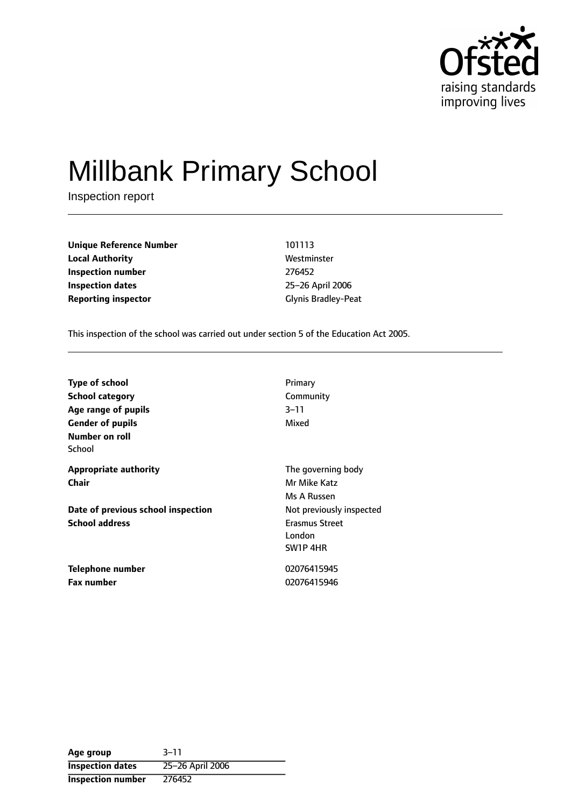

# Millbank Primary School

Inspection report

**Unique Reference Number** 101113 **Local Authority Mestronic Mestronic Westminster Inspection number** 276452 **Inspection dates** 25-26 April 2006 **Reporting inspector** Glynis Bradley-Peat

This inspection of the school was carried out under section 5 of the Education Act 2005.

| <b>Type of school</b>              | Primary                  |
|------------------------------------|--------------------------|
| <b>School category</b>             | Community                |
| Age range of pupils                | $3 - 11$                 |
| <b>Gender of pupils</b>            | Mixed                    |
| Number on roll                     |                          |
| School                             |                          |
| <b>Appropriate authority</b>       | The governing body       |
| Chair                              | Mr Mike Katz             |
|                                    | Ms A Russen              |
| Date of previous school inspection | Not previously inspected |
| <b>School address</b>              | <b>Erasmus Street</b>    |
|                                    | London                   |
|                                    | SW1P 4HR                 |
| <b>Telephone number</b>            | 02076415945              |
| <b>Fax number</b>                  | 02076415946              |

**Age** group 3-11 **Inspection dates** 25-26 April 2006 **Inspection number** 276452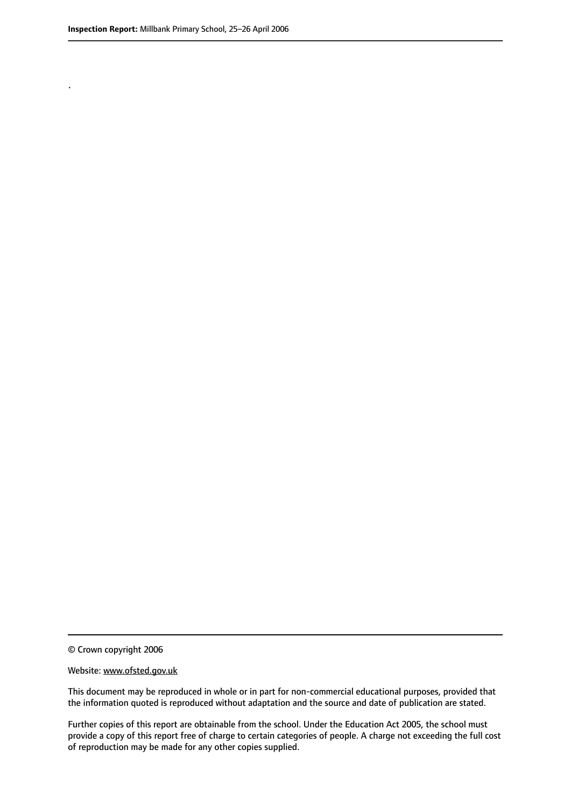.

#### Website: www.ofsted.gov.uk

This document may be reproduced in whole or in part for non-commercial educational purposes, provided that the information quoted is reproduced without adaptation and the source and date of publication are stated.

Further copies of this report are obtainable from the school. Under the Education Act 2005, the school must provide a copy of this report free of charge to certain categories of people. A charge not exceeding the full cost of reproduction may be made for any other copies supplied.

<sup>©</sup> Crown copyright 2006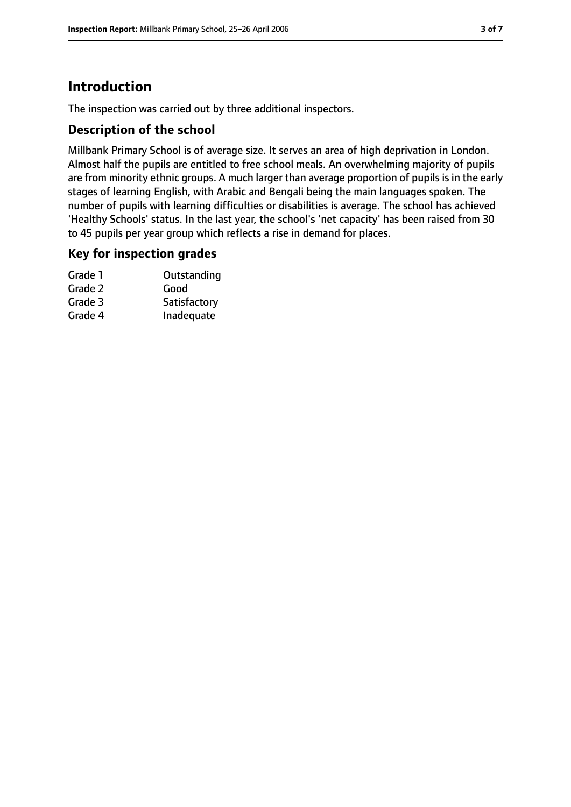## **Introduction**

The inspection was carried out by three additional inspectors.

### **Description of the school**

Millbank Primary School is of average size. It serves an area of high deprivation in London. Almost half the pupils are entitled to free school meals. An overwhelming majority of pupils are from minority ethnic groups. A much larger than average proportion of pupils is in the early stages of learning English, with Arabic and Bengali being the main languages spoken. The number of pupils with learning difficulties or disabilities is average. The school has achieved 'Healthy Schools' status. In the last year, the school's 'net capacity' has been raised from 30 to 45 pupils per year group which reflects a rise in demand for places.

#### **Key for inspection grades**

| Outstanding  |
|--------------|
| Good         |
| Satisfactory |
| Inadequate   |
|              |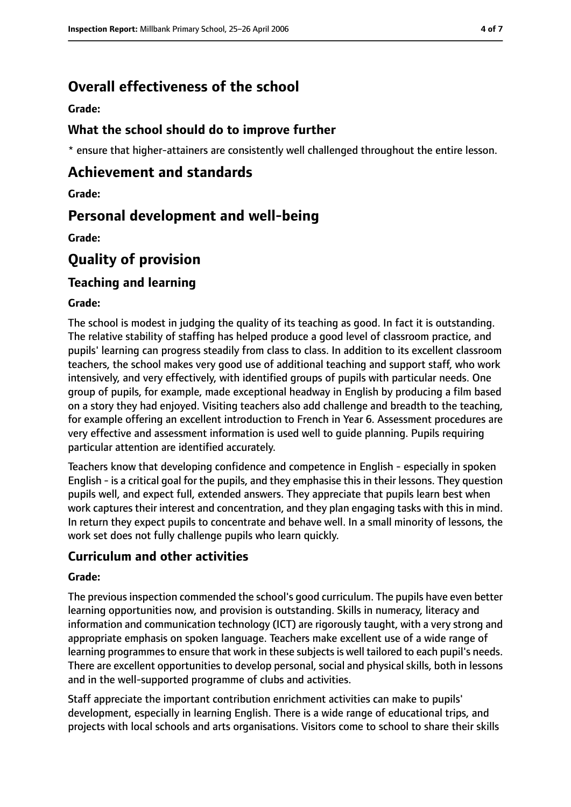## **Overall effectiveness of the school**

**Grade:**

## **What the school should do to improve further**

\* ensure that higher-attainers are consistently well challenged throughout the entire lesson.

## **Achievement and standards**

**Grade:**

## **Personal development and well-being**

**Grade:**

## **Quality of provision**

## **Teaching and learning**

#### **Grade:**

The school is modest in judging the quality of its teaching as good. In fact it is outstanding. The relative stability of staffing has helped produce a good level of classroom practice, and pupils' learning can progress steadily from class to class. In addition to its excellent classroom teachers, the school makes very good use of additional teaching and support staff, who work intensively, and very effectively, with identified groups of pupils with particular needs. One group of pupils, for example, made exceptional headway in English by producing a film based on a story they had enjoyed. Visiting teachers also add challenge and breadth to the teaching, for example offering an excellent introduction to French in Year 6. Assessment procedures are very effective and assessment information is used well to guide planning. Pupils requiring particular attention are identified accurately.

Teachers know that developing confidence and competence in English - especially in spoken English - is a critical goal for the pupils, and they emphasise this in their lessons. They question pupils well, and expect full, extended answers. They appreciate that pupils learn best when work captures their interest and concentration, and they plan engaging tasks with this in mind. In return they expect pupils to concentrate and behave well. In a small minority of lessons, the work set does not fully challenge pupils who learn quickly.

## **Curriculum and other activities**

#### **Grade:**

The previous inspection commended the school's good curriculum. The pupils have even better learning opportunities now, and provision is outstanding. Skills in numeracy, literacy and information and communication technology (ICT) are rigorously taught, with a very strong and appropriate emphasis on spoken language. Teachers make excellent use of a wide range of learning programmes to ensure that work in these subjects is well tailored to each pupil's needs. There are excellent opportunities to develop personal, social and physical skills, both in lessons and in the well-supported programme of clubs and activities.

Staff appreciate the important contribution enrichment activities can make to pupils' development, especially in learning English. There is a wide range of educational trips, and projects with local schools and arts organisations. Visitors come to school to share their skills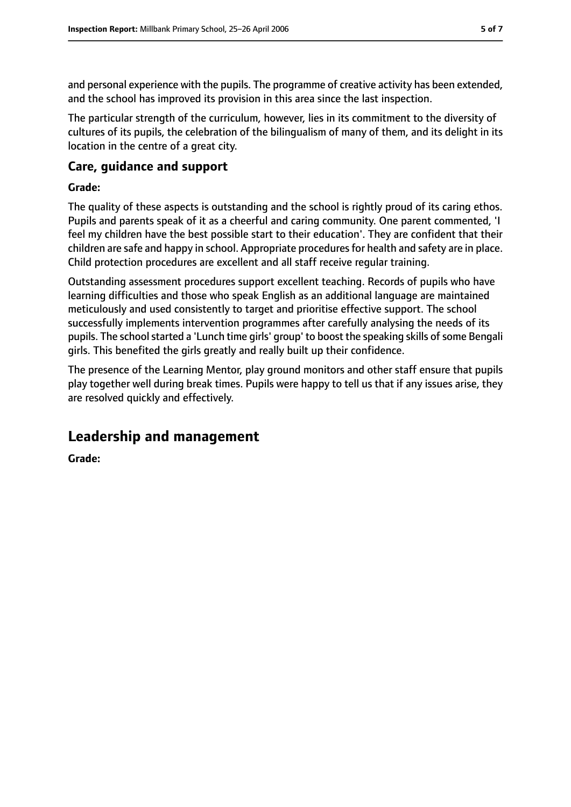and personal experience with the pupils. The programme of creative activity has been extended, and the school has improved its provision in this area since the last inspection.

The particular strength of the curriculum, however, lies in its commitment to the diversity of cultures of its pupils, the celebration of the bilingualism of many of them, and its delight in its location in the centre of a great city.

## **Care, guidance and support**

#### **Grade:**

The quality of these aspects is outstanding and the school is rightly proud of its caring ethos. Pupils and parents speak of it as a cheerful and caring community. One parent commented, 'I feel my children have the best possible start to their education'. They are confident that their children are safe and happy in school. Appropriate procedures for health and safety are in place. Child protection procedures are excellent and all staff receive regular training.

Outstanding assessment procedures support excellent teaching. Records of pupils who have learning difficulties and those who speak English as an additional language are maintained meticulously and used consistently to target and prioritise effective support. The school successfully implements intervention programmes after carefully analysing the needs of its pupils. The school started a 'Lunch time girls' group' to boost the speaking skills of some Bengali girls. This benefited the girls greatly and really built up their confidence.

The presence of the Learning Mentor, play ground monitors and other staff ensure that pupils play together well during break times. Pupils were happy to tell us that if any issues arise, they are resolved quickly and effectively.

## **Leadership and management**

**Grade:**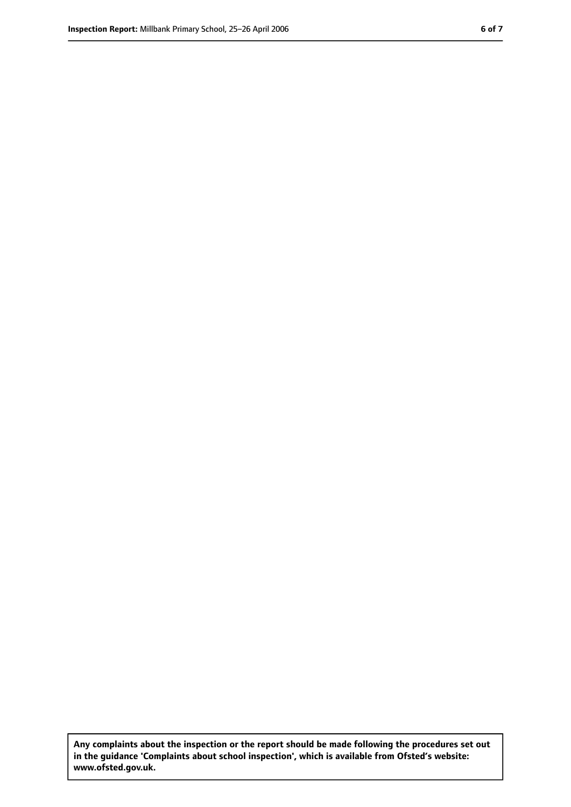**Any complaints about the inspection or the report should be made following the procedures set out in the guidance 'Complaints about school inspection', which is available from Ofsted's website: www.ofsted.gov.uk.**